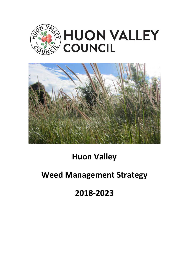



# **Huon Valley**

# **Weed Management Strategy**

# **2018-2023**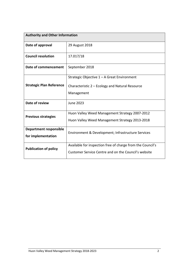| <b>Authority and Other Information</b>              |                                                                                                                    |  |
|-----------------------------------------------------|--------------------------------------------------------------------------------------------------------------------|--|
| Date of approval                                    | 29 August 2018                                                                                                     |  |
| <b>Council resolution</b>                           | 17.017/18                                                                                                          |  |
| Date of commencement                                | September 2018                                                                                                     |  |
| <b>Strategic Plan Reference</b>                     | Strategic Objective 1 - A Great Environment<br>Characteristic 2 – Ecology and Natural Resource<br>Management       |  |
| Date of review                                      | <b>June 2023</b>                                                                                                   |  |
| <b>Previous strategies</b>                          | Huon Valley Weed Management Strategy 2007-2012<br>Huon Valley Weed Management Strategy 2013-2018                   |  |
| <b>Department responsible</b><br>for implementation | Environment & Development; Infrastructure Services                                                                 |  |
| <b>Publication of policy</b>                        | Available for inspection free of charge from the Council's<br>Customer Service Centre and on the Council's website |  |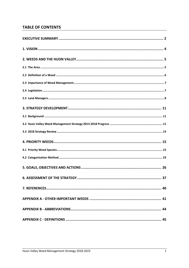# **TABLE OF CONTENTS**

| <b>6. ASSESSMENT OF THE STRATEGY.</b><br>37 |
|---------------------------------------------|
|                                             |
|                                             |
|                                             |
|                                             |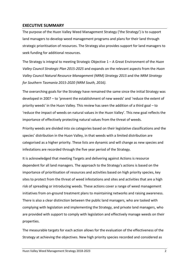## **EXECUTIVE SUMMARY**

The purpose of the Huon Valley Weed Management Strategy ('the Strategy') is to support land managers to develop weed management programs and plans for their land through strategic prioritisation of resources. The Strategy also provides support for land managers to seek funding for additional resources.

The Strategy is integral to meeting Strategic Objective 1 – A Great Environment of the *Huon Valley Council Strategic Plan 2015-2025* and expands on the relevant aspects from the *Huon Valley Council Natural Resource Management (NRM) Strategy 2015* and the *NRM Strategy for Southern Tasmania 2015-2020 (NRM South, 2016).* 

The overarching goals for the Strategy have remained the same since the initial Strategy was developed in 2007 – to 'prevent the establishment of new weeds' and 'reduce the extent of priority weeds' in the Huon Valley. This review has seen the addition of a third goal – to 'reduce the impact of weeds on natural values in the Huon Valley'. This new goal reflects the importance of effectively protecting natural values from the threat of weeds.

Priority weeds are divided into six categories based on their legislative classifications and the species' distribution in the Huon Valley, in that weeds with a limited distribution are categorised as a higher priority. These lists are dynamic and will change as new species and infestations are recorded through the five year period of the Strategy.

It is acknowledged that meeting Targets and delivering against Actions is resource dependent for all land managers. The approach to the Strategy's actions is based on the importance of prioritisation of resources and activities based on high priority species, key sites to protect from the threat of weed infestations and sites and activities that are a high risk of spreading or introducing weeds. These actions cover a range of weed management initiatives from on-ground treatment plans to maintaining networks and raising awareness. There is also a clear distinction between the public land managers, who are tasked with complying with legislation and implementing the Strategy, and private land managers, who are provided with support to comply with legislation and effectively manage weeds on their properties.

The measurable targets for each action allows for the evaluation of the effectiveness of the Strategy at achieving the objectives. New high priority species recorded and considered as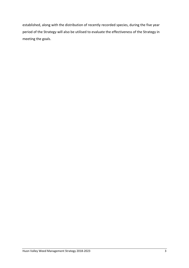established, along with the distribution of recently recorded species, during the five year period of the Strategy will also be utilised to evaluate the effectiveness of the Strategy in meeting the goals.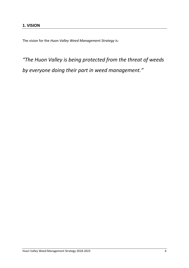The vision for the *Huon Valley Weed Management Strategy* is:

*"The Huon Valley is being protected from the threat of weeds by everyone doing their part in weed management."*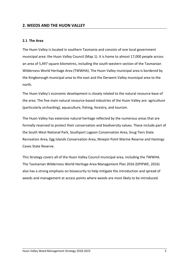### **2. WEEDS AND THE HUON VALLEY**

#### **2.1 The Area**

The Huon Valley is located in southern Tasmania and consists of one local government municipal area: the Huon Valley Council (Map 1). It is home to almost 17,000 people across an area of 5,497 square kilometres, including the south-western section of the Tasmanian Wilderness World Heritage Area (TWWHA). The Huon Valley municipal area is bordered by the Kingborough municipal area to the east and the Derwent Valley municipal area to the north.

The Huon Valley's economic development is closely related to the natural resource base of the area. The five main natural resource-based industries of the Huon Valley are: agriculture (particularly orcharding), aquaculture, fishing, forestry, and tourism.

The Huon Valley has extensive natural heritage reflected by the numerous areas that are formally reserved to protect their conservation and biodiversity values. These include part of the South West National Park, Southport Lagoon Conservation Area, Snug Tiers State Recreation Area, Egg Islands Conservation Area, Ninepin Point Marine Reserve and Hastings Caves State Reserve.

This Strategy covers all of the Huon Valley Council municipal area, including the TWWHA. The Tasmanian Wilderness World Heritage Area Management Plan 2016 (DPIPWE, 2016) also has a strong emphasis on biosecurity to help mitigate the introduction and spread of weeds and management at access points where weeds are most likely to be introduced.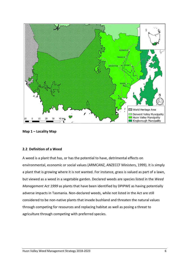

**Map 1 – Locality Map** 

#### **2.2 Definition of a Weed**

A weed is a plant that has, or has the potential to have, detrimental effects on environmental, economic or social values (ARMCANZ, ANZECCF Ministers, 1999). It is simply a plant that is growing where it is not wanted. For instance, grass is valued as part of a lawn, but viewed as a weed in a vegetable garden. Declared weeds are species listed in the *Weed Management Act 1999* as plants that have been identified by DPIPWE as having potentially adverse impacts in Tasmania. Non-declared weeds, while not listed in the Act are still considered to be non-native plants that invade bushland and threaten the natural values through competing for resources and replacing habitat as well as posing a threat to agriculture through competing with preferred species.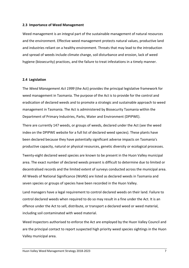#### **2.3 Importance of Weed Management**

Weed management is an integral part of the sustainable management of natural resources and the environment. Effective weed management protects natural values, productive land and industries reliant on a healthy environment. Threats that may lead to the introduction and spread of weeds include climate change, soil disturbance and erosion, lack of weed hygiene (biosecurity) practices, and the failure to treat infestations in a timely manner.

#### **2.4 Legislation**

The *Weed Management Act 1999* (the Act) provides the principal legislative framework for weed management in Tasmania. The purpose of the Act is to provide for the control and eradication of declared weeds and to promote a strategic and sustainable approach to weed management in Tasmania. The Act is administered by Biosecurity Tasmania within the Department of Primary Industries, Parks, Water and Environment (DPIPWE).

There are currently 147 weeds, or groups of weeds, declared under the Act (see the weed index on the DPIPWE website for a full list of declared weed species). These plants have been declared because they have potentially significant adverse impacts on Tasmania's productive capacity, natural or physical resources, genetic diversity or ecological processes.

Twenty-eight declared weed species are known to be present in the Huon Valley municipal area. The exact number of declared weeds present is difficult to determine due to limited or decentralised records and the limited extent of surveys conducted across the municipal area. All Weeds of National Significance (WoNS) are listed as declared weeds in Tasmania and seven species or groups of species have been recorded in the Huon Valley.

Land managers have a legal requirement to control declared weeds on their land. Failure to control declared weeds when required to do so may result in a fine under the Act. It is an offence under the Act to sell, distribute, or transport a declared weed or weed material, including soil contaminated with weed material.

Weed Inspectors authorised to enforce the Act are employed by the Huon Valley Council and are the principal contact to report suspected high priority weed species sightings in the Huon Valley municipal area.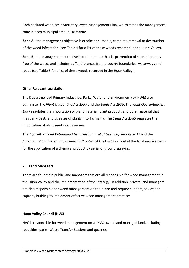Each declared weed has a Statutory Weed Management Plan, which states the management zone in each municipal area in Tasmania:

**Zone A** - the management objective is eradication, that is, complete removal or destruction of the weed infestation (see Table 4 for a list of these weeds recorded in the Huon Valley).

**Zone B** - the management objective is containment; that is, prevention of spread to areas free of the weed, and includes buffer distances from property boundaries, waterways and roads (see Table 5 for a list of these weeds recorded in the Huon Valley).

#### **Other Relevant Legislation**

The Department of Primary Industries, Parks, Water and Environment (DPIPWE) also administer the *Plant Quarantine Act 1997* and the *Seeds Act 1985*. The *Plant Quarantine Act 1997* regulates the importation of plant material, plant products and other material that may carry pests and diseases of plants into Tasmania. The *Seeds Act 1985* regulates the importation of plant seed into Tasmania.

The *Agricultural and Veterinary Chemicals (Control of Use) Regulations 2012* and the *Agricultural and Veterinary Chemicals (Control of Use) Act 1995* detail the legal requirements for the application of a chemical product by aerial or ground spraying.

#### **2.5 Land Managers**

There are four main public land managers that are all responsible for weed management in the Huon Valley and the implementation of the Strategy. In addition, private land managers are also responsible for weed management on their land and require support, advice and capacity building to implement effective weed management practices.

#### **Huon Valley Council (HVC)**

HVC is responsible for weed management on all HVC owned and managed land, including roadsides, parks, Waste Transfer Stations and quarries.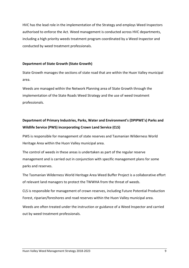HVC has the lead role in the implementation of the Strategy and employs Weed Inspectors authorised to enforce the Act. Weed management is conducted across HVC departments, including a high priority weeds treatment program coordinated by a Weed Inspector and conducted by weed treatment professionals.

#### **Department of State Growth (State Growth)**

State Growth manages the sections of state road that are within the Huon Valley municipal area.

Weeds are managed within the Network Planning area of State Growth through the implementation of the State Roads Weed Strategy and the use of weed treatment professionals.

# **Department of Primary Industries, Parks, Water and Environment's (DPIPWE's) Parks and Wildlife Service (PWS) incorporating Crown Land Service (CLS)**

PWS is responsible for management of state reserves and Tasmanian Wilderness World Heritage Area within the Huon Valley municipal area.

The control of weeds in these areas is undertaken as part of the regular reserve management and is carried out in conjunction with specific management plans for some parks and reserves.

The Tasmanian Wilderness World Heritage Area Weed Buffer Project is a collaborative effort of relevant land managers to protect the TWWHA from the threat of weeds.

CLS is responsible for management of crown reserves, including Future Potential Production Forest, riparian/foreshores and road reserves within the Huon Valley municipal area.

Weeds are often treated under the instruction or guidance of a Weed Inspector and carried out by weed treatment professionals.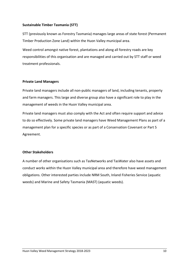#### **Sustainable Timber Tasmania (STT)**

STT (previously known as Forestry Tasmania) manages large areas of state forest (Permanent Timber Production Zone Land) within the Huon Valley municipal area.

Weed control amongst native forest, plantations and along all forestry roads are key responsibilities of this organisation and are managed and carried out by STT staff or weed treatment professionals.

#### **Private Land Managers**

Private land managers include all non-public managers of land, including tenants, property and farm managers. This large and diverse group also have a significant role to play in the management of weeds in the Huon Valley municipal area.

Private land managers must also comply with the Act and often require support and advice to do so effectively. Some private land managers have Weed Management Plans as part of a management plan for a specific species or as part of a Conservation Covenant or Part 5 Agreement.

#### **Other Stakeholders**

A number of other organisations such as TasNetworks and TasWater also have assets and conduct works within the Huon Valley municipal area and therefore have weed management obligations. Other interested parties include NRM South, Inland Fisheries Service (aquatic weeds) and Marine and Safety Tasmania (MAST) (aquatic weeds).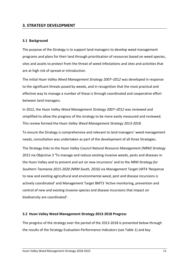### **3. STRATEGY DEVELOPMENT**

#### **3.1 Background**

The purpose of the Strategy is to support land managers to develop weed management programs and plans for their land through prioritisation of resources based on weed species, sites and assets to protect from the threat of weed infestations and sites and activities that are at high risk of spread or introduction.

The initial *Huon Valley Weed Management Strategy 2007–2012* was developed in response to the significant threats posed by weeds, and in recognition that the most practical and effective way to manage a number of these is through coordinated and cooperative effort between land managers.

In 2012, the *Huon Valley Weed Management Strategy 2007–2012* was reviewed and simplified to allow the progress of the strategy to be more easily measured and reviewed. This review formed the *Huon Valley Weed Management Strategy 2013-2018*.

To ensure the Strategy is comprehensive and relevant to land managers' weed management needs, consultation was undertaken as part of the development of all three Strategies.

The Strategy links to the *Huon Valley Council Natural Resource Management (NRM) Strategy 2015* via Objective 3 **'**To manage and reduce existing invasive weeds, pests and diseases in the Huon Valley and to prevent and act on new incursions' and to the *NRM Strategy for Southern Tasmania 2015-2020 (NRM South, 2016)* via Management Target LMT4 'Response to new and existing agricultural and environmental weed, pest and disease incursions is actively coordinated' and Management Target BMT3 'Active monitoring, prevention and control of new and existing invasive species and disease incursions that impact on biodiversity are coordinated'.

#### **3.2 Huon Valley Weed Management Strategy 2013-2018 Progress**

The progress of the strategy over the period of the 2013-2018 is presented below through the results of the Strategy Evaluation Performance Indicators (see Table 1) and key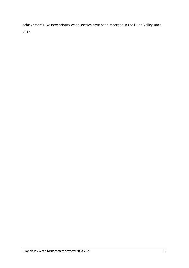achievements. No new priority weed species have been recorded in the Huon Valley since 2013.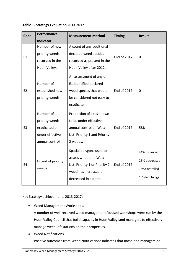#### **Table 1. Strategy Evaluation 2013-2017**

| Code           | Performance                  | <b>Measurement Method</b>      | <b>Timing</b>      | <b>Result</b>  |
|----------------|------------------------------|--------------------------------|--------------------|----------------|
|                | <b>Indicator</b>             |                                |                    |                |
|                | Number of new                | A count of any additional      |                    |                |
| E1             | priority weeds               | declared weed species          | <b>End of 2017</b> | $\Omega$       |
|                | recorded in the              | recorded as present in the     |                    |                |
|                | Huon Valley.                 | Huon Valley after 2012.        |                    |                |
|                |                              | An assessment of any of        |                    |                |
|                | Number of                    | E1 identified declared         |                    |                |
| E <sub>2</sub> | established new              | weed species that would        | End of 2017        | 0              |
|                | priority weeds               | be considered not easy to      |                    |                |
|                |                              | eradicate.                     |                    |                |
|                | Number of                    | Proportion of sites known      |                    |                |
| E <sub>3</sub> | priority weeds               | to be under effective          |                    |                |
|                | eradicated or                | annual control on Watch        | End of 2017        | 58%            |
|                | under effective              | List, Priority 1 and Priority  |                    |                |
|                | annual control.              | 2 weeds.                       |                    |                |
|                |                              | Spatial polygons used to       |                    | 44% increased  |
| E4             | Extent of priority<br>weeds. | assess whether a Watch         |                    | 25% decreased  |
|                |                              | List, Priority 1 or Priority 2 | <b>End of 2017</b> | 18% Controlled |
|                |                              | weed has increased or          |                    |                |
|                |                              | decreased in extent.           |                    | 13% No change  |
|                |                              |                                |                    |                |

Key Strategy achievements 2013-2017:

Weed Management Workshops.

A number of well-received weed management focused workshops were run by the Huon Valley Council that build capacity in Huon Valley land managers to effectively manage weed infestations on their properties.

Weed Notifications.

Positive outcomes from Weed Notifications indicates that most land managers do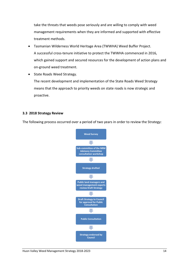take the threats that weeds pose seriously and are willing to comply with weed management requirements when they are informed and supported with effective treatment methods.

- Tasmanian Wilderness World Heritage Area (TWWHA) Weed Buffer Project. A successful cross-tenure initiative to protect the TWWHA commenced in 2016, which gained support and secured resources for the development of action plans and on-ground weed treatment.
- State Roads Weed Strategy.

The recent development and implementation of the State Roads Weed Strategy means that the approach to priority weeds on state roads is now strategic and proactive.

#### **3.3 2018 Strategy Review**

The following process occurred over a period of two years in order to review the Strategy:

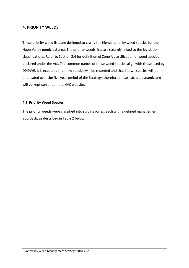#### **4. PRIORITY WEEDS**

These priority weed lists are designed to clarify the highest priority weed species for the Huon Valley municipal area. The priority weeds lists are strongly linked to the legislation classifications. Refer to Section 2.4 for definition of Zone A classification of weed species declared under the Act. The common names of these weed species align with those used by DPIPWE. It is expected that new species will be recorded and that known species will be eradicated over the five year period of the Strategy, therefore these lists are dynamic and will be kept current on the HVC website.

#### **4.1 Priority Weed Species**

The priority weeds were classified into six categories, each with a defined management approach, as described in Table 2 below.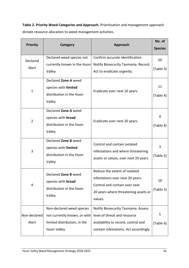**Table 2. Priority Weed Categories and Approach.** Prioritisation and management approach dictate resource allocation to weed management activities.

| <b>Priority</b>       | Category                                                                                                        | Approach                                                                                                                                              | No. of<br><b>Species</b> |
|-----------------------|-----------------------------------------------------------------------------------------------------------------|-------------------------------------------------------------------------------------------------------------------------------------------------------|--------------------------|
|                       | Declared weed species not                                                                                       | Confirm accurate identification.                                                                                                                      |                          |
| Declared<br>Alert     | currently known in the Huon<br>Valley                                                                           | Notify Biosecurity Tasmania. Record.<br>Act to eradicate urgently.                                                                                    | 20<br>(Table 3)          |
| $\mathbf{1}$          | Declared Zone A weed<br>species with limited<br>distribution in the Huon<br>Valley                              | Eradicate over next 10 years.                                                                                                                         | 11<br>(Table 4)          |
| $\overline{2}$        | Declared Zone A weed<br>species with <b>broad</b><br>distribution in the Huon<br>Valley                         | Eradicate over next 20 years.                                                                                                                         | 4<br>(Table 4)           |
| 3                     | Declared Zone B weed<br>species with limited<br>distribution in the Huon<br>Valley                              | Control and contain isolated<br>infestations and where threatening<br>assets or values, over next 20 years.                                           | 3<br>(Table 5)           |
| 4                     | Declared Zone B weed<br>species with broad<br>distribution in the Huon<br>Valley                                | Reduce the extent of isolated<br>infestations over next 20 years.<br>Control and contain over next<br>20 years where threatening assets or<br>values. | 10<br>(Table 5)          |
| Non-declared<br>Alert | Non-declared weed species<br>not currently known, or with<br>limited distribution, in the<br><b>Huon Valley</b> | Notify Biosecurity Tasmania. Assess<br>level of threat and resource<br>availability to record, control and<br>contain infestations. Act accordingly.  | 5<br>(Table 6)           |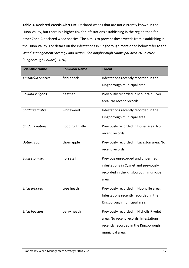**Table 3. Declared Weeds Alert List**. Declared weeds that are not currently known in the Huon Valley, but there is a higher risk for infestations establishing in the region than for other Zone A declared weed species. The aim is to prevent these weeds from establishing in the Huon Valley. For details on the infestations in Kingborough mentioned below refer to the *Weed Management Strategy and Action Plan Kingborough Municipal Area 2017-2027 (Kingborough Council, 2016).* 

| <b>Scientific Name</b> | <b>Common Name</b> | <b>Threat</b>                            |
|------------------------|--------------------|------------------------------------------|
| Amsinckia Species      | fiddleneck         | Infestations recently recorded in the    |
|                        |                    | Kingborough municipal area.              |
| Calluna vulgaris       | heather            | Previously recorded in Mountain River    |
|                        |                    | area. No recent records.                 |
| Cardaria draba         | whiteweed          | Infestations recently recorded in the    |
|                        |                    | Kingborough municipal area.              |
| Carduus nutans         | nodding thistle    | Previously recorded in Dover area. No    |
|                        |                    | recent records.                          |
| Datura spp.            | thornapple         | Previously recorded in Lucaston area. No |
|                        |                    | recent records.                          |
| Equisetum sp.          | horsetail          | Previous unrecorded and unverified       |
|                        |                    | infestations in Cygnet and previously    |
|                        |                    | recorded in the Kingborough municipal    |
|                        |                    | area.                                    |
| Erica arborea          | tree heath         | Previously recorded in Huonville area.   |
|                        |                    | Infestations recently recorded in the    |
|                        |                    | Kingborough municipal area.              |
| Erica baccans          | berry heath        | Previously recorded in Nicholls Rivulet  |
|                        |                    | area. No recent records. Infestations    |
|                        |                    | recently recorded in the Kingborough     |
|                        |                    | municipal area.                          |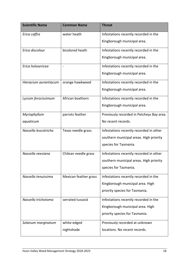| <b>Scientific Name</b> | <b>Common Name</b>    | <b>Threat</b>                             |
|------------------------|-----------------------|-------------------------------------------|
| Erica caffra           | water heath           | Infestations recently recorded in the     |
|                        |                       | Kingborough municipal area.               |
| Erica discolour        | bicolored heath       | Infestations recently recorded in the     |
|                        |                       | Kingborough municipal area.               |
| Erica holosericea      | $\blacksquare$        | Infestations recently recorded in the     |
|                        |                       | Kingborough municipal area.               |
| Hieracium aurantiacum  | orange hawkweed       | Infestations recently recorded in the     |
|                        |                       | Kingborough municipal area.               |
| Lycium ferocissimum    | African boxthorn      | Infestations recently recorded in the     |
|                        |                       | Kingborough municipal area.               |
| Myriophyllum           | parrots feather       | Previously recorded in Petcheys Bay area. |
| aquaticum              |                       | No recent records.                        |
| Nassella leucotricha   | Texas needle grass    | Infestations recently recorded in other   |
|                        |                       | southern municipal areas. High priority   |
|                        |                       | species for Tasmania.                     |
| Nassella neesiana      | Chilean needle grass  | Infestations recently recorded in other   |
|                        |                       | southern municipal areas. High priority   |
|                        |                       | species for Tasmania.                     |
| Nassella tenuissima    | Mexican feather grass | Infestations recently recorded in the     |
|                        |                       | Kingborough municipal area. High          |
|                        |                       | priority species for Tasmania.            |
| Nassella trichotoma    | serrated tussock      | Infestations recently recorded in the     |
|                        |                       | Kingborough municipal area. High          |
|                        |                       | priority species for Tasmania.            |
| Solanum marginatum     | white-edged           | Previously recorded at unknown            |
|                        | nightshade            | locations. No recent records.             |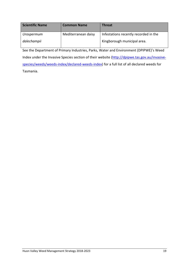| <b>Scientific Name</b> | <b>Common Name</b>  | <b>Threat</b>                         |
|------------------------|---------------------|---------------------------------------|
| Urospermum             | Mediterranean daisy | Infestations recently recorded in the |
| dalechampii            |                     | Kingborough municipal area.           |

See the Department of Primary Industries, Parks, Water and Environment (DPIPWE)'s Weed Index under the Invasive Species section of their website (http://dpipwe.tas.gov.au/invasivespecies/weeds/weeds-index/declared-weeds-index) for a full list of all declared weeds for Tasmania.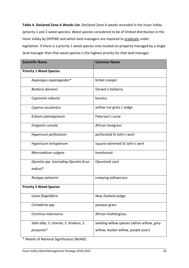**Table 4. Declared Zone A Weeds List.** Declared Zone A weeds recorded in the Huon Valley (priority 1 and 2 weed species). Weed species considered to be of limited distribution in the Huon Valley by DPIPWE and which land managers are required to eradicate under legislation. If there is a priority 1 weed species only located on property managed by a single land manager then that weed species is the highest priority for that land manager.

| <b>Scientific Name</b>                               | <b>Common Name</b>                         |
|------------------------------------------------------|--------------------------------------------|
| <b>Priority 1 Weed Species</b>                       |                                            |
| Asparagus asparagoides*                              | bridal creeper                             |
| Berberis darwinii                                    | Darwin's barberry                          |
| Coprosma robusta                                     | karamu                                     |
| Cyperus esculentus                                   | yellow nut grass / sedge                   |
| Echium plantagineum                                  | Paterson's curse                           |
| Eragostis curvula                                    | African lovegrass                          |
| Hypericum perforatum                                 | perforated St John's wort                  |
| Hypericum tetrapterum                                | square-stemmed St John's wort              |
| Marrumbium vulgare                                   | horehound                                  |
| Opuntia spp. (excluding Opuntia ficus-<br>$indica)*$ | Opuntioid cacti                            |
| Rorippa sylvestris                                   | creeping yellowcress                       |
| <b>Priority 2 Weed Species</b>                       |                                            |
| Carex flagellifera                                   | New Zealand sedge                          |
| Cortaderia spp.                                      | pampas grass                               |
| Cenchrus macrourus                                   | African feathergrass                       |
| Salix alba, S. cinerea, S. Xrubens, S.               | seeding willow species (white willow, grey |
| purpurea*                                            | willow, basket willow, purple osier)       |

\* Weeds of National Significance (WoNS).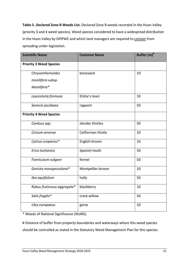**Table 5. Declared Zone B Weeds List.** Declared Zone B weeds recorded in the Huon Valley (priority 3 and 4 weed species). Weed species considered to have a widespread distribution in the Huon Valley by DPIPWE and which land managers are required to contain from spreading under legislation.

| <b>Scientific Name</b>         | <b>Common Name</b>  | Buffer (m) <sup>#</sup> |
|--------------------------------|---------------------|-------------------------|
| <b>Priority 3 Weed Species</b> |                     |                         |
| Chrysanthemoides               | boneseed            | 10                      |
| monilifera subsp.              |                     |                         |
| Monilifera*                    |                     |                         |
| Leycesteria formosa            | Elisha's tears      | 10                      |
| Senecio jacobaea               | ragwort             | 50                      |
| <b>Priority 4 Weed Species</b> |                     |                         |
| Carduus spp.                   | slender thistles    | 50                      |
| Cirsium arvense                | Californian thistle | 10                      |
| Cytisus scoparius*             | English broom       | 10                      |
| Erica lusitanica               | Spanish heath       | 50                      |
| Foeniculum vulgare             | fennel              | 50                      |
| Genista monspessulana*         | Montpellier broom   | 10                      |
| Ilex aquifolium                | holly               | 50                      |
| Rubus fruticosus aggregate*    | blackberry          | 10                      |
| Salix fragilis*                | crack willow        | 50                      |
| Ulex europaeus                 | gorse               | 10                      |

\* Weeds of National Significance (WoNS).

# Distance of buffer from property boundaries and waterways where this weed species should be controlled as stated in the Statutory Weed Management Plan for this species.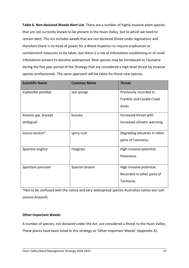**Table 6. Non-declared Weeds Alert List.** There are a number of highly invasive plant species that are not currently known to be present in the Huon Valley, but to which we need to remain alert. This list includes weeds that are not declared (listed under legislation) and therefore there is no head of power for a Weed Inspector to require eradication or containment measures to be taken, but there is a risk of infestations establishing or of small infestations present to become widespread. New species may be introduced to Tasmania during the five year period of the Strategy that are considered a high level threat by invasive species professionals. The same approach will be taken for those new species.

| <b>Scientific Name</b> | <b>Common Name</b> | <b>Threat</b>                    |
|------------------------|--------------------|----------------------------------|
| Euphorbia paralias     | sea spurge         | Previously recorded in           |
|                        |                    | <b>Franklin and Cockle Creek</b> |
|                        |                    | areas.                           |
| Kunzea spp. (except    | kunzea             | Increased threat with            |
| ambigua)               |                    | increased climatic warming.      |
| Juncus acutus^         | spiny rush         | Degrading estuaries in other     |
|                        |                    | parts of Tasmania.               |
| Spartina anglica       | ricegrass          | High invasive potential.         |
|                        |                    | Poisonous.                       |
|                        |                    |                                  |
| Spartium junceum       | Spanish broom      | High invasive potential.         |
|                        |                    | Recorded in other parts of       |
|                        |                    | Tasmania.                        |

^Not to be confused with the native and very widespread species Australian native sea rush (*Juncus kraussii*).

#### **Other Important Weeds**

A number of species, not declared under the Act, are considered a threat to the Huon Valley. These plants have been listed in this strategy as 'Other Important Weeds' (Appendix A).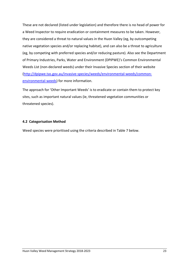These are not declared (listed under legislation) and therefore there is no head of power for a Weed Inspector to require eradication or containment measures to be taken. However, they are considered a threat to natural values in the Huon Valley (eg, by outcompeting native vegetation species and/or replacing habitat), and can also be a threat to agriculture (eg, by competing with preferred species and/or reducing pasture). Also see the Department of Primary Industries, Parks, Water and Environment (DPIPWE)'s Common Environmental Weeds List (non-declared weeds) under their Invasive Species section of their website (http://dpipwe.tas.gov.au/invasive-species/weeds/environmental-weeds/commonenvironmental-weeds) for more information.

The approach for 'Other Important Weeds' is to eradicate or contain them to protect key sites, such as important natural values (ie, threatened vegetation communities or threatened species).

#### **4.2 Categorisation Method**

Weed species were prioritised using the criteria described in Table 7 below.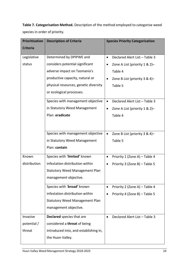**Table 7. Categorisation Method.** Description of the method employed to categorise weed species in order of priority.

| <b>Prioritisation</b> | <b>Description of Criteria</b>        | <b>Species Priority Categorisation</b>     |
|-----------------------|---------------------------------------|--------------------------------------------|
| <b>Criteria</b>       |                                       |                                            |
| Legislative           | Determined by DPIPWE and              | Declared Alert List - Table 3<br>$\bullet$ |
| status                | considers potential significant       | Zone A List (priority 1 & 2)-              |
|                       | adverse impact on Tasmania's          | Table 4                                    |
|                       | productive capacity, natural or       | Zone B List (priority 3 & 4)-              |
|                       | physical resources, genetic diversity | Table 5                                    |
|                       | or ecological processes.              |                                            |
|                       | Species with management objective     | Declared Alert List - Table 3              |
|                       | in Statutory Weed Management          | Zone A List (priority $1 & 2$ )-           |
|                       | Plan: eradicate                       | Table 4                                    |
|                       |                                       |                                            |
|                       | Species with management objective     | Zone B List (priority 3 & 4)-<br>$\bullet$ |
|                       | in Statutory Weed Management          | Table 5                                    |
|                       | Plan: contain                         |                                            |
| Known                 | Species with 'limited' known          | Priority 1 (Zone A) - Table 4              |
| distribution          | infestation distribution within       | Priority 3 (Zone B) - Table 5              |
|                       | <b>Statutory Weed Management Plan</b> |                                            |
|                       | management objective.                 |                                            |
|                       | Species with 'broad' known            | Priority 2 (Zone A) - Table 4              |
|                       | infestation distribution within       | Priority 4 (Zone B) - Table 5              |
|                       | <b>Statutory Weed Management Plan</b> |                                            |
|                       | management objective.                 |                                            |
| Invasive              | Declared species that are             | Declared Alert List - Table 3<br>$\bullet$ |
| potential /           | considered a threat of being          |                                            |
| threat                | introduced into, and establishing in, |                                            |
|                       | the Huon Valley.                      |                                            |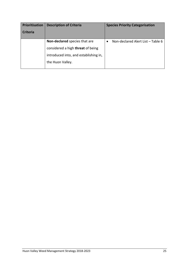| <b>Prioritisation</b><br><b>Criteria</b> | <b>Description of Criteria</b>                                                                                                  | <b>Species Priority Categorisation</b> |
|------------------------------------------|---------------------------------------------------------------------------------------------------------------------------------|----------------------------------------|
|                                          | Non-declared species that are<br>considered a high threat of being<br>introduced into, and establishing in,<br>the Huon Valley. | Non-declared Alert List - Table 6      |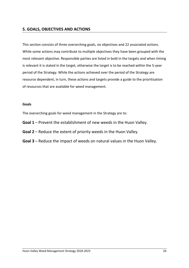## **5. GOALS, OBJECTIVES AND ACTIONS**

This section consists of three overarching goals, six objectives and 22 associated actions. While some actions may contribute to multiple objectives they have been grouped with the most relevant objective. Responsible parties are listed in bold in the targets and when timing is relevant it is stated in the target, otherwise the target is to be reached within the 5-year period of the Strategy. While the actions achieved over the period of the Strategy are resource dependent, in turn, these actions and targets provide a guide to the prioritisation of resources that are available for weed management.

#### **Goals**

The overarching goals for weed management in the Strategy are to:

- **Goal 1** Prevent the establishment of new weeds in the Huon Valley.
- **Goal 2** Reduce the extent of priority weeds in the Huon Valley.
- **Goal 3** Reduce the impact of weeds on natural values in the Huon Valley.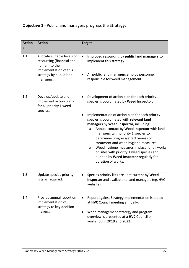# **Objective 1** - Public land managers progress the Strategy.

| <b>Action</b><br># | <b>Action</b>                                                                                                                               | <b>Target</b>                                                                                                                                                                                                                                                                                                                                                                                                                                                                                                                                                                                          |  |  |
|--------------------|---------------------------------------------------------------------------------------------------------------------------------------------|--------------------------------------------------------------------------------------------------------------------------------------------------------------------------------------------------------------------------------------------------------------------------------------------------------------------------------------------------------------------------------------------------------------------------------------------------------------------------------------------------------------------------------------------------------------------------------------------------------|--|--|
| 1.1                | Allocate suitable levels of<br>resourcing (financial and<br>human) to the<br>implementation of this<br>strategy by public land<br>managers. | Improved resourcing by public land managers to<br>$\bullet$<br>implement this strategy.<br>All public land managers employ personnel<br>responsible for weed management.                                                                                                                                                                                                                                                                                                                                                                                                                               |  |  |
| 1.2                | Develop/update and<br>implement action plans<br>for all priority 1 weed<br>species.                                                         | Development of action plan for each priority 1<br>$\bullet$<br>species is coordinated by Weed Inspector.<br>Implementation of action plan for each priority 1<br>species is coordinated with relevant land<br>managers by Weed Inspector, including:<br>Annual contact by Weed Inspector with land<br>O<br>managers with priority 1 species to<br>determine progress/effectiveness of<br>treatment and weed hygiene measures.<br>Weed hygiene measures in place for all works<br>$\circ$<br>on sites with priority 1 weed species and<br>audited by Weed Inspector regularly for<br>duration of works. |  |  |
| 1.3                | Update species priority<br>lists as required.                                                                                               | Species priority lists are kept current by Weed<br>Inspector and available to land managers (eg, HVC<br>website).                                                                                                                                                                                                                                                                                                                                                                                                                                                                                      |  |  |
| 1.4                | Provide annual report on<br>implementation of<br>strategy to key decision<br>makers.                                                        | Report against Strategy implementation is tabled<br>at HVC Council meeting annually.<br>Weed management strategy and program<br>overview is presented at a HVC Councillor<br>workshop in 2019 and 2022.                                                                                                                                                                                                                                                                                                                                                                                                |  |  |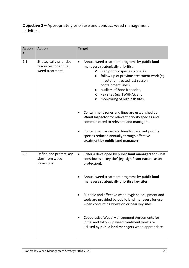**Objective 2** – Appropriately prioritise and conduct weed management activities.

| <b>Action</b> | <b>Action</b>                                                       | <b>Target</b>                                                                                                                                                                                                                                                                                                                                                                                     |  |
|---------------|---------------------------------------------------------------------|---------------------------------------------------------------------------------------------------------------------------------------------------------------------------------------------------------------------------------------------------------------------------------------------------------------------------------------------------------------------------------------------------|--|
| #             |                                                                     |                                                                                                                                                                                                                                                                                                                                                                                                   |  |
| 2.1           | Strategically prioritise<br>resources for annual<br>weed treatment. | Annual weed treatment programs by public land<br>$\bullet$<br>managers strategically prioritise:<br>high priority species (Zone A),<br>$\circ$<br>follow up of previous treatment work (eg,<br>$\circ$<br>infestation treated last season,<br>containment lines),<br>outliers of Zone B species,<br>$\circ$<br>key sites (eg, TWHHA), and<br>$\circ$<br>monitoring of high risk sites.<br>$\circ$ |  |
|               |                                                                     | Containment zones and lines are established by<br>Weed Inspector for relevant priority species and<br>communicated to relevant land managers.                                                                                                                                                                                                                                                     |  |
|               |                                                                     | Containment zones and lines for relevant priority<br>species reduced annually through effective<br>treatment by public land managers.                                                                                                                                                                                                                                                             |  |
| 2.2           | Define and protect key<br>sites from weed<br>incursions.            | Criteria developed by public land managers for what<br>$\bullet$<br>constitutes a 'key site' (eg, significant natural asset<br>protection).                                                                                                                                                                                                                                                       |  |
|               |                                                                     | Annual weed treatment programs by public land<br>managers strategically prioritise key sites.                                                                                                                                                                                                                                                                                                     |  |
|               |                                                                     | Suitable and effective weed hygiene equipment and<br>tools are provided by public land managers for use<br>when conducting works on or near key sites.                                                                                                                                                                                                                                            |  |
|               |                                                                     | Cooperative Weed Management Agreements for<br>initial and follow up weed treatment work are<br>utilised by public land managers when appropriate.                                                                                                                                                                                                                                                 |  |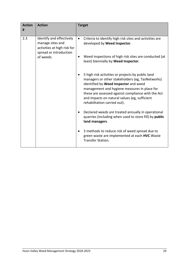| <b>Action</b><br># | <b>Action</b>                                                                                         | <b>Target</b>                                                                                                                                                                                                                                                                                                                         |
|--------------------|-------------------------------------------------------------------------------------------------------|---------------------------------------------------------------------------------------------------------------------------------------------------------------------------------------------------------------------------------------------------------------------------------------------------------------------------------------|
| 2.3                | Identify and effectively<br>manage sites and<br>activities at high risk for<br>spread or introduction | Criteria to identify high risk sites and activities are<br>$\bullet$<br>developed by Weed Inspector.                                                                                                                                                                                                                                  |
|                    | of weeds.                                                                                             | Weed inspections of high risk sites are conducted (at<br>$\bullet$<br>least) biennially by Weed Inspector.                                                                                                                                                                                                                            |
|                    |                                                                                                       | 5 high risk activities or projects by public land<br>managers or other stakeholders (eg, TasNetworks)<br>identified by Weed Inspector and weed<br>management and hygiene measures in place for<br>these are assessed against compliance with the Act<br>and impacts on natural values (eg, sufficient<br>rehabilitation carried out). |
|                    |                                                                                                       | Declared weeds are treated annually in operational<br>$\bullet$<br>quarries (including when used to store fill) by public<br>land managers.                                                                                                                                                                                           |
|                    |                                                                                                       | 3 methods to reduce risk of weed spread due to<br>green waste are implemented at each HVC Waste<br>Transfer Station.                                                                                                                                                                                                                  |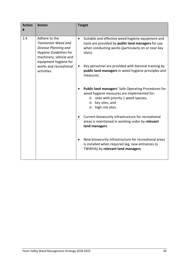| <b>Action</b><br># | <b>Action</b>                                                                                                                            | <b>Target</b>                                                                                                                                                                                                    |
|--------------------|------------------------------------------------------------------------------------------------------------------------------------------|------------------------------------------------------------------------------------------------------------------------------------------------------------------------------------------------------------------|
| 2.4                | Adhere to the<br>Tasmanian Weed and<br>Disease Planning and<br>Hygiene Guidelines for<br>machinery, vehicle and<br>equipment hygiene for | Suitable and effective weed hygiene equipment and<br>$\bullet$<br>tools are provided by public land managers for use<br>when conducting works (particularly on or near key<br>sites).                            |
|                    | works and recreational<br>activities.                                                                                                    | Key personnel are provided with biennial training by<br>public land managers in weed hygiene principles and<br>measures.                                                                                         |
|                    |                                                                                                                                          | <b>Public land managers' Safe Operating Procedures for</b><br>weed hygiene measures are implemented for:<br>sites with priority 1 weed species,<br>$\circ$<br>key sites, and<br>$\circ$<br>high risk sites.<br>O |
|                    |                                                                                                                                          | Current biosecurity infrastructure for recreational<br>areas is maintained in working order by relevant<br>land managers.                                                                                        |
|                    |                                                                                                                                          | New biosecurity infrastructure for recreational areas<br>is installed when required (eg, new entrances to<br>TWWHA) by relevant land managers.                                                                   |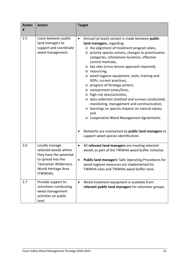| <b>Action</b> | <b>Action</b>                                                                                                                                             | <b>Target</b>                                                                                                                                                                                                                                                                                                                                                                                                                                                                                                                                                                                                                                                                                                                                                                             |  |  |
|---------------|-----------------------------------------------------------------------------------------------------------------------------------------------------------|-------------------------------------------------------------------------------------------------------------------------------------------------------------------------------------------------------------------------------------------------------------------------------------------------------------------------------------------------------------------------------------------------------------------------------------------------------------------------------------------------------------------------------------------------------------------------------------------------------------------------------------------------------------------------------------------------------------------------------------------------------------------------------------------|--|--|
| #             |                                                                                                                                                           |                                                                                                                                                                                                                                                                                                                                                                                                                                                                                                                                                                                                                                                                                                                                                                                           |  |  |
| 2.5           | Liaise between public<br>land managers to<br>support and coordinate<br>weed management.                                                                   | Annual (at least) contact is made between public<br>$\bullet$<br>land managers, regarding:<br>o the alignment of treatment program plans,<br>o priority species actions, changes to prioritisation<br>categories, infestations locations, effective<br>control methods,<br>o key sites (cross tenure approach required),<br>o resourcing,<br>o weed hygiene equipment, tools, training and<br>SOPs, current practices,<br>o progress of Strategy actions,<br>o containment zones/lines,<br>o high risk sites/activities,<br>o data collection (method and surveys conducted),<br>monitoring, management and communication,<br>o learnings on species impacts on natural values,<br>and<br>o Cooperative Weed Management Agreements.<br>Networks are maintained by public land managers to |  |  |
|               |                                                                                                                                                           | support weed species identification.                                                                                                                                                                                                                                                                                                                                                                                                                                                                                                                                                                                                                                                                                                                                                      |  |  |
| 2.6           | Locally manage<br>selected weeds where<br>they have the potential<br>to spread into the<br><b>Tasmanian Wilderness</b><br>World Heritage Area<br>(TWWHA). | All relevant land managers are treating selected<br>$\bullet$<br>weeds as part of the TWWHA weed buffer initiative.<br><b>Public land managers' Safe Operating Procedures for</b><br>weed hygiene measures are implemented for<br>TWWHA sites and TWWHA weed buffer zone.                                                                                                                                                                                                                                                                                                                                                                                                                                                                                                                 |  |  |
| 2.7           | Provide support to<br>volunteers conducting<br>weed management<br>activities on public<br>land.                                                           | Weed treatment equipment is available from<br>$\bullet$<br>relevant public land managers for volunteer groups.                                                                                                                                                                                                                                                                                                                                                                                                                                                                                                                                                                                                                                                                            |  |  |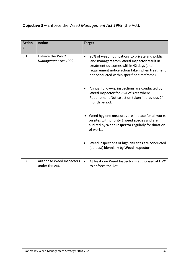# **Objective 3** – Enforce the *Weed Management Act 1999* (the Act).

| <b>Action</b><br># | <b>Action</b>                               | <b>Target</b>                                                                                                                                                                                                                                         |
|--------------------|---------------------------------------------|-------------------------------------------------------------------------------------------------------------------------------------------------------------------------------------------------------------------------------------------------------|
| 3.1                | Enforce the Weed<br>Management Act 1999.    | 90% of weed notifications to private and public<br>$\bullet$<br>land managers from Weed Inspector result in<br>treatment outcomes within 42 days (and<br>requirement notice action taken when treatment<br>not conducted within specified timeframe). |
|                    |                                             | Annual follow-up inspections are conducted by<br>Weed Inspector for 75% of sites where<br>Requirement Notice action taken in previous 24<br>month period.                                                                                             |
|                    |                                             | Weed hygiene measures are in place for all works<br>on sites with priority 1 weed species and are<br>audited by Weed Inspector regularly for duration<br>of works.                                                                                    |
|                    |                                             | Weed inspections of high risk sites are conducted<br>(at least) biennially by Weed Inspector.                                                                                                                                                         |
| 3.2                | Authorise Weed Inspectors<br>under the Act. | At least one Weed Inspector is authorised at HVC<br>$\bullet$<br>to enforce the Act.                                                                                                                                                                  |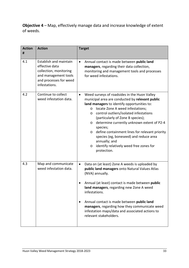**Objective 4** – Map, effectively manage data and increase knowledge of extent of weeds.

| <b>Action</b> | <b>Action</b>                                                                                                                         | <b>Target</b>                                                                                                                                                                                                                                                                                                                                                                                                                                                                                                                                                    |
|---------------|---------------------------------------------------------------------------------------------------------------------------------------|------------------------------------------------------------------------------------------------------------------------------------------------------------------------------------------------------------------------------------------------------------------------------------------------------------------------------------------------------------------------------------------------------------------------------------------------------------------------------------------------------------------------------------------------------------------|
| #             |                                                                                                                                       |                                                                                                                                                                                                                                                                                                                                                                                                                                                                                                                                                                  |
| 4.1           | Establish and maintain<br>effective data<br>collection, monitoring<br>and management tools<br>and processes for weed<br>infestations. | Annual contact is made between public land<br>$\bullet$<br>managers, regarding their data collection,<br>monitoring and management tools and processes<br>for weed infestations.                                                                                                                                                                                                                                                                                                                                                                                 |
| 4.2           | Continue to collect<br>weed infestation data.                                                                                         | Weed surveys of roadsides in the Huon Valley<br>$\bullet$<br>municipal area are conducted by relevant public<br>land managers to identify opportunities to:<br>locate Zone A weed infestations;<br>$\circ$<br>control outliers/isolated infestations<br>$\circ$<br>(particularly of Zone B species);<br>determine currently unknown extent of P2-4<br>$\circ$<br>species;<br>define containment lines for relevant priority<br>$\circ$<br>species (eg, boneseed) and reduce area<br>annually; and<br>identify relatively weed free zones for<br>O<br>protection. |
| 4.3           | Map and communicate<br>weed infestation data.                                                                                         | Data on (at least) Zone A weeds is uploaded by<br>$\bullet$<br>public land managers onto Natural Values Atlas<br>(NVA) annually.<br>Annual (at least) contact is made between public<br>land managers, regarding new Zone A weed<br>infestations.<br>Annual contact is made between public land<br>managers, regarding how they communicate weed<br>infestation maps/data and associated actions to<br>relevant stakeholders.                                                                                                                                    |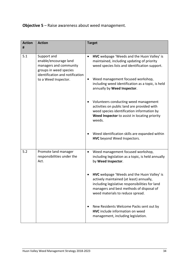# **Objective 5** – Raise awareness about weed management.

| <b>Action</b><br># | <b>Action</b>                                                                                                                                       | <b>Target</b>                                                                                                                                                                                                                                                                                                                                                                                                                                                                                                                                                                        |
|--------------------|-----------------------------------------------------------------------------------------------------------------------------------------------------|--------------------------------------------------------------------------------------------------------------------------------------------------------------------------------------------------------------------------------------------------------------------------------------------------------------------------------------------------------------------------------------------------------------------------------------------------------------------------------------------------------------------------------------------------------------------------------------|
| 5.1                | Support and<br>enable/encourage land<br>managers and community<br>groups in weed species<br>identification and notification<br>to a Weed Inspector. | HVC webpage 'Weeds and the Huon Valley' is<br>$\bullet$<br>maintained, including updating of priority<br>weed species lists and identification support.<br>Weed management focused workshop,<br>٠<br>including weed identification as a topic, is held<br>annually by Weed Inspector.<br>Volunteers conducting weed management<br>$\bullet$<br>activities on public land are provided with<br>weed species identification information by<br>Weed Inspector to assist in locating priority<br>weeds.<br>Weed identification skills are expanded within<br>HVC beyond Weed Inspectors. |
| 5.2                | Promote land manager<br>responsibilities under the<br>Act.                                                                                          | Weed management focused workshop,<br>$\bullet$<br>including legislation as a topic, is held annually<br>by Weed Inspector.<br>HVC webpage 'Weeds and the Huon Valley' is<br>actively maintained (at least) annually,<br>including legislative responsibilities for land<br>managers and best methods of disposal of<br>weed materials to reduce spread.                                                                                                                                                                                                                              |
|                    |                                                                                                                                                     | New Residents Welcome Packs sent out by<br>٠<br><b>HVC</b> include information on weed<br>management, including legislation.                                                                                                                                                                                                                                                                                                                                                                                                                                                         |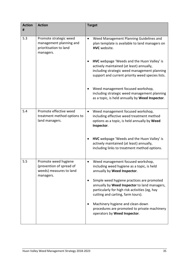| <b>Action</b> | <b>Action</b>                                                                            | <b>Target</b>                                                                                                                                                                              |  |
|---------------|------------------------------------------------------------------------------------------|--------------------------------------------------------------------------------------------------------------------------------------------------------------------------------------------|--|
| #             |                                                                                          |                                                                                                                                                                                            |  |
| 5.3           | Promote strategic weed<br>management planning and<br>prioritisation to land<br>managers. | Weed Management Planning Guidelines and<br>$\bullet$<br>plan template is available to land managers on<br>HVC website.                                                                     |  |
|               |                                                                                          | HVC webpage 'Weeds and the Huon Valley' is<br>actively maintained (at least) annually,<br>including strategic weed management planning<br>support and current priority weed species lists. |  |
|               |                                                                                          | Weed management focused workshop,<br>including strategic weed management planning<br>as a topic, is held annually by Weed Inspector.                                                       |  |
| 5.4           | Promote effective weed<br>treatment method options to<br>land managers.                  | Weed management focused workshop,<br>$\bullet$<br>including effective weed treatment method<br>options as a topic, is held annually by Weed<br>Inspector.                                  |  |
|               |                                                                                          | <b>HVC</b> webpage 'Weeds and the Huon Valley' is<br>actively maintained (at least) annually,<br>including links to treatment method options.                                              |  |
| 5.5           | Promote weed hygiene<br>(prevention of spread of<br>weeds) measures to land<br>managers. | Weed management focused workshop,<br>including weed hygiene as a topic, is held<br>annually by Weed Inspector.                                                                             |  |
|               |                                                                                          | Simple weed hygiene practices are promoted<br>annually by Weed Inspector to land managers,<br>particularly for high risk activities (eg, hay<br>cutting and carting, farm tours).          |  |
|               |                                                                                          | Machinery hygiene and clean-down<br>procedures are promoted to private machinery<br>operators by Weed Inspector.                                                                           |  |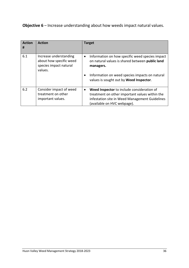**Objective 6** – Increase understanding about how weeds impact natural values.

| <b>Action</b><br># | <b>Action</b>                                                                          | <b>Target</b>                                                                                                                                                                              |
|--------------------|----------------------------------------------------------------------------------------|--------------------------------------------------------------------------------------------------------------------------------------------------------------------------------------------|
| 6.1                | Increase understanding<br>about how specific weed<br>species impact natural<br>values. | Information on how specific weed species impact<br>$\bullet$<br>on natural values is shared between public land<br>managers.                                                               |
|                    |                                                                                        | Information on weed species impacts on natural<br>٠<br>values is sought out by Weed Inspector.                                                                                             |
| 6.2                | Consider impact of weed<br>treatment on other<br>important values.                     | Weed Inspector to include consideration of<br>$\bullet$<br>treatment on other important values within the<br>infestation site in Weed Management Guidelines<br>(available on HVC webpage). |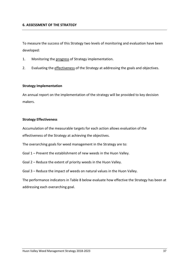#### **6. ASSESSMENT OF THE STRATEGY**

To measure the success of this Strategy two levels of monitoring and evaluation have been developed:

- 1. Monitoring the progress of Strategy implementation.
- 2. Evaluating the effectiveness of the Strategy at addressing the goals and objectives.

#### **Strategy Implementation**

An annual report on the implementation of the strategy will be provided to key decision makers.

#### **Strategy Effectiveness**

Accumulation of the measurable targets for each action allows evaluation of the effectiveness of the Strategy at achieving the objectives.

The overarching goals for weed management in the Strategy are to:

- Goal 1 Prevent the establishment of new weeds in the Huon Valley.
- Goal 2 Reduce the extent of priority weeds in the Huon Valley.
- Goal 3 Reduce the impact of weeds on natural values in the Huon Valley.

The performance indicators in Table 8 below evaluate how effective the Strategy has been at addressing each overarching goal.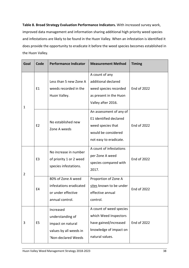**Table 8. Broad Strategy Evaluation Performance Indicators.** With increased survey work, improved data management and information sharing additional high priority weed species and infestations are likely to be found in the Huon Valley. When an infestation is identified it does provide the opportunity to eradicate it before the weed species becomes established in the Huon Valley.

| Goal | Code           | <b>Performance Indicator</b>                                                                        | <b>Measurement Method</b>                                                                                               | <b>Timing</b>      |
|------|----------------|-----------------------------------------------------------------------------------------------------|-------------------------------------------------------------------------------------------------------------------------|--------------------|
| 1    | E1             | Less than 5 new Zone A<br>weeds recorded in the<br>Huon Valley.                                     | A count of any<br>additional declared<br>weed species recorded<br>as present in the Huon<br>Valley after 2016.          | End of 2022        |
|      | E <sub>2</sub> | No established new<br>Zone A weeds                                                                  | An assessment of any of<br>E1 identified declared<br>weed species that<br>would be considered<br>not easy to eradicate. | End of 2022        |
| 2    | E <sub>3</sub> | No increase in number<br>of priority 1 or 2 weed<br>species infestations.                           | A count of infestations<br>per Zone A weed<br>species compared with<br>2017.                                            | <b>End of 2022</b> |
|      | E <sub>4</sub> | 80% of Zone A weed<br>infestations eradicated<br>or under effective<br>annual control.              | Proportion of Zone A<br>sites known to be under<br>effective annual<br>control.                                         | <b>End of 2022</b> |
| 3    | E <sub>5</sub> | Increased<br>understanding of<br>impact on natural<br>values by all weeds in<br>'Non-declared Weeds | A count of weed species<br>which Weed Inspectors<br>have gained/increased<br>knowledge of impact on<br>natural values.  | End of 2022        |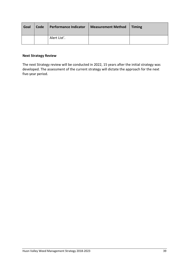| Goal | Code | <b>Performance Indicator</b> | <b>Measurement Method</b> | $\blacksquare$ Timing |
|------|------|------------------------------|---------------------------|-----------------------|
|      |      | Alert List'.                 |                           |                       |

#### **Next Strategy Review**

The next Strategy review will be conducted in 2022, 15 years after the initial strategy was developed. The assessment of the current strategy will dictate the approach for the next five-year period.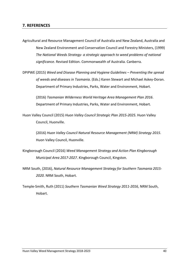### **7. REFERENCES**

- Agricultural and Resource Management Council of Australia and New Zealand, Australia and New Zealand Environment and Conservation Council and Forestry Ministers, (1999) *The National Weeds Strategy- a strategic approach to weed problems of national significance*. Revised Edition. Commonwealth of Australia. Canberra.
- DPIPWE (2015) *Weed and Disease Planning and Hygiene Guidelines Preventing the spread of weeds and diseases in Tasmania*. (Eds.) Karen Stewart and Michael Askey-Doran. Department of Primary Industries, Parks, Water and Environment, Hobart.

(2016) *Tasmanian Wilderness World Heritage Area Management Plan 2016*. Department of Primary Industries, Parks, Water and Environment, Hobart.

Huon Valley Council (2015) *Huon Valley Council Strategic Plan 2015-2025.* Huon Valley Council, Huonville.

> (2016) *Huon Valley Council Natural Resource Management (NRM) Strategy 2015*. Huon Valley Council, Huonville.

- Kingborough Council (2016) *Weed Management Strategy and Action Plan Kingborough Municipal Area 2017-2027*. Kingborough Council, Kingston.
- NRM South, (2016), *Natural Resource Management Strategy for Southern Tasmania 2015- 2020*. NRM South, Hobart.
- Temple-Smith, Ruth (2011) *Southern Tasmanian Weed Strategy 2011-2016,* NRM South, Hobart.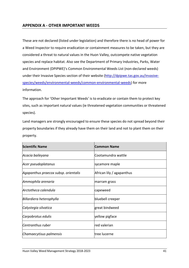## **APPENDIX A - OTHER IMPORTANT WEEDS**

These are not declared (listed under legislation) and therefore there is no head of power for a Weed Inspector to require eradication or containment measures to be taken, but they are considered a threat to natural values in the Huon Valley, outcompete native vegetation species and replace habitat. Also see the Department of Primary Industries, Parks, Water and Environment (DPIPWE)'s Common Environmental Weeds List (non-declared weeds) under their Invasive Species section of their website (http://dpipwe.tas.gov.au/invasivespecies/weeds/environmental-weeds/common-environmental-weeds) for more information.

The approach for 'Other Important Weeds' is to eradicate or contain them to protect key sites, such as important natural values (ie threatened vegetation communities or threatened species).

Land managers are strongly encouraged to ensure these species do not spread beyond their property boundaries if they already have them on their land and not to plant them on their property.

| <b>Scientific Name</b>               | <b>Common Name</b>        |
|--------------------------------------|---------------------------|
| Acacia baileyana                     | Cootamundra wattle        |
| Acer pseudoplatanus                  | sycamore maple            |
| Agapanthus praecox subsp. orientalis | African lily / agapanthus |
| Ammophila arenaria                   | marram grass              |
| Arctotheca calendula                 | capeweed                  |
| Billardiera heterophylla             | bluebell creeper          |
| Calystegia silvatica                 | great bindweed            |
| Carpobrotus edulis                   | yellow pigface            |
| Centranthus ruber                    | red valerian              |
| Chamaecytisus palmensis              | ltree lucerne             |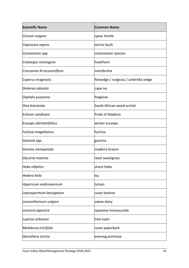| <b>Scientific Name</b>    | <b>Common Name</b>                    |
|---------------------------|---------------------------------------|
| Cirsium vulgare           | spear thistle                         |
| Coprosma repens           | mirror bush                           |
| Cotoneaster spp.          | cotoneaster species                   |
| Crataegus monogyna        | hawthorn                              |
| Crocosmia Xcrocosmiiflora | montbretia                            |
| Cyperus eragrostis        | flatsedge / nutgrass / umbrella sedge |
| Delairea odorata          | cape ivy                              |
| Digitalis purpurea        | foxglove                              |
| Disa bracteata            | South African weed orchid             |
| <b>Echium candicans</b>   | Pride of Madeira                      |
| Euryops abrotanifolius    | winter euryops                        |
| Fuchsia magellanica       | fuchsia                               |
| Gazania spp.              | gazania                               |
| Genista stenopetala       | madeira broom                         |
| Glyceria maxima           | reed sweetgrass                       |
| Hebe elliptica            | shore hebe                            |
| <b>Hedera helix</b>       | ivy                                   |
| Hypericum androsaemum     | tutsan                                |
| Leptospermum laevigatum   | coast teatree                         |
| Leucanthemum vulgare      | oxeye daisy                           |
| Lonicera japonica         | Japanese honeysuckle                  |
| Lupinus arboreus          | tree lupin                            |
| Melaleuca ericifolia      | coast paperbark                       |
| Oenothera stricta         | evening primrose                      |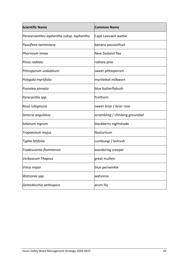| <b>Scientific Name</b>                    | <b>Common Name</b>              |
|-------------------------------------------|---------------------------------|
| Paraserianthes lophantha subsp. lophantha | Cape Leeuwin wattle             |
| Passiflora tarminiana                     | banana passionfruit             |
| Phormium tenax                            | New Zealand flax                |
| Pinus radiata                             | radiata pine                    |
| Pittosporum undulatum                     | sweet pittosporum               |
| Polygala myrtifolia                       | myrtleleaf milkwort             |
| Psoralea pinnata                          | blue butterflybush              |
| Pyracantha spp.                           | firethorn                       |
| Rosa rubiginosa                           | sweet briar / briar rose        |
| Senecio angulatus                         | scrambling / climbing groundsel |
| Solanum nigrum                            | blackberry nightshade           |
| Tropaeolum majus                          | Nasturtium                      |
| Typha latifolia                           | cumbungi / bulrush              |
| Tradescantia fluminensis                  | wandering creeper               |
| <b>Verbascum Thapsus</b>                  | great mullein                   |
| Vinca major                               | blue periwinkle                 |
| Watsonia spp.                             | watsonia                        |
| Zantedeschia aethiopica                   | arum lily                       |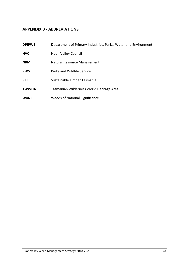## **APPENDIX B - ABBREVIATIONS**

| <b>DPIPWE</b> | Department of Primary Industries, Parks, Water and Environment |
|---------------|----------------------------------------------------------------|
| <b>HVC</b>    | <b>Huon Valley Council</b>                                     |
| <b>NRM</b>    | Natural Resource Management                                    |
| <b>PWS</b>    | Parks and Wildlife Service                                     |
| <b>STT</b>    | Sustainable Timber Tasmania                                    |
| <b>TWWHA</b>  | Tasmanian Wilderness World Heritage Area                       |
| <b>WoNS</b>   | <b>Weeds of National Significance</b>                          |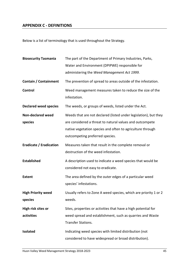# **APPENDIX C - DEFINITIONS**

Below is a list of terminology that is used throughout the Strategy.

| <b>Biosecurity Tasmania</b>          | The part of the Department of Primary Industries, Parks,<br>Water and Environment (DPIPWE) responsible for<br>administering the Weed Management Act 1999.                                                                     |
|--------------------------------------|-------------------------------------------------------------------------------------------------------------------------------------------------------------------------------------------------------------------------------|
| Contain / Containment                | The prevention of spread to areas outside of the infestation.                                                                                                                                                                 |
| Control                              | Weed management measures taken to reduce the size of the<br>infestation.                                                                                                                                                      |
| <b>Declared weed species</b>         | The weeds, or groups of weeds, listed under the Act.                                                                                                                                                                          |
| <b>Non-declared weed</b><br>species  | Weeds that are not declared (listed under legislation), but they<br>are considered a threat to natural values and outcompete<br>native vegetation species and often to agriculture through<br>outcompeting preferred species. |
| <b>Eradicate / Eradication</b>       | Measures taken that result in the complete removal or<br>destruction of the weed infestation.                                                                                                                                 |
| <b>Established</b>                   | A description used to indicate a weed species that would be<br>considered not easy to eradicate.                                                                                                                              |
| <b>Extent</b>                        | The area defined by the outer edges of a particular weed<br>species' infestations.                                                                                                                                            |
| <b>High Priority weed</b><br>species | Usually refers to Zone A weed species, which are priority 1 or 2<br>weeds.                                                                                                                                                    |
| High risk sites or<br>activities     | Sites, properties or activities that have a high potential for<br>weed spread and establishment, such as quarries and Waste<br><b>Transfer Stations.</b>                                                                      |
| <b>Isolated</b>                      | Indicating weed species with limited distribution (not<br>considered to have widespread or broad distribution).                                                                                                               |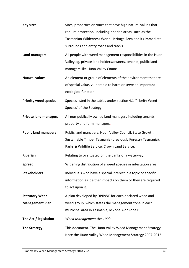| <b>Key sites</b>             | Sites, properties or zones that have high natural values that<br>require protection, including riparian areas, such as the<br>Tasmanian Wilderness World Heritage Area and its immediate<br>surrounds and entry roads and tracks. |
|------------------------------|-----------------------------------------------------------------------------------------------------------------------------------------------------------------------------------------------------------------------------------|
| Land managers                | All people with weed management responsibilities in the Huon<br>Valley eg, private land holders/owners, tenants, public land<br>managers like Huon Valley Council.                                                                |
| <b>Natural values</b>        | An element or group of elements of the environment that are<br>of special value, vulnerable to harm or serve an important<br>ecological function.                                                                                 |
| <b>Priority weed species</b> | Species listed in the tables under section 4.1 'Priority Weed<br>Species' of the Strategy.                                                                                                                                        |
| <b>Private land managers</b> | All non-publically owned land managers including tenants,<br>property and farm managers.                                                                                                                                          |
| <b>Public land managers</b>  | Public land managers: Huon Valley Council, State Growth,<br>Sustainable Timber Tasmania (previously Forestry Tasmania),<br>Parks & Wildlife Service, Crown Land Service.                                                          |
| Riparian                     | Relating to or situated on the banks of a waterway.                                                                                                                                                                               |
| <b>Spread</b>                | Widening distribution of a weed species or infestation area.                                                                                                                                                                      |
| <b>Stakeholders</b>          | Individuals who have a special interest in a topic or specific<br>information as it either impacts on them or they are required<br>to act upon it.                                                                                |
| <b>Statutory Weed</b>        | A plan developed by DPIPWE for each declared weed and                                                                                                                                                                             |
| <b>Management Plan</b>       | weed group, which states the management zone in each<br>municipal area in Tasmania, ie Zone A or Zone B.                                                                                                                          |
| The Act / legislation        | Weed Management Act 1999.                                                                                                                                                                                                         |
| <b>The Strategy</b>          | This document. The Huon Valley Weed Management Strategy.<br>Note the Huon Valley Weed Management Strategy 2007-2012                                                                                                               |